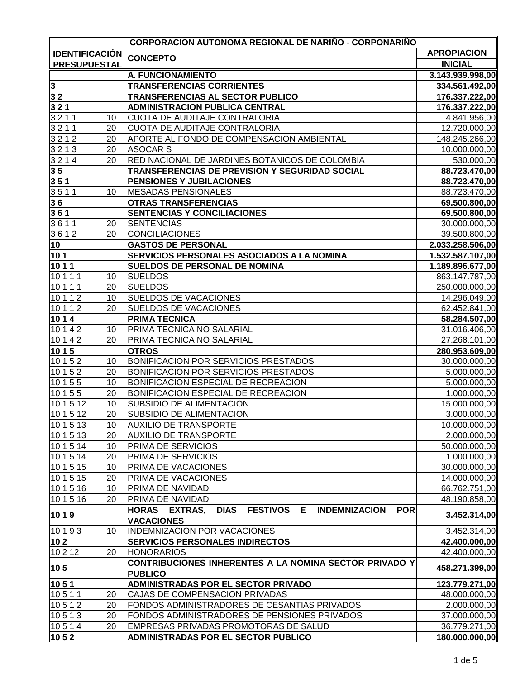| <b>CORPORACION AUTONOMA REGIONAL DE NARIÑO - CORPONARIÑO</b> |    |                                                                                                              |                    |  |
|--------------------------------------------------------------|----|--------------------------------------------------------------------------------------------------------------|--------------------|--|
| <b>IDENTIFICACIÓN</b>                                        |    | <b>CONCEPTO</b>                                                                                              | <b>APROPIACION</b> |  |
| <b>PRESUPUESTAL</b>                                          |    |                                                                                                              | <b>INICIAL</b>     |  |
|                                                              |    | A. FUNCIONAMIENTO                                                                                            | 3.143.939.998,00   |  |
| $\overline{3}$                                               |    | <b>TRANSFERENCIAS CORRIENTES</b>                                                                             | 334.561.492,00     |  |
| 32                                                           |    | TRANSFERENCIAS AL SECTOR PUBLICO                                                                             | 176.337.222,00     |  |
| $321$                                                        |    | <b>ADMINISTRACION PUBLICA CENTRAL</b>                                                                        | 176.337.222,00     |  |
| 3211                                                         | 10 | CUOTA DE AUDITAJE CONTRALORIA                                                                                | 4.841.956,00       |  |
| 3211                                                         | 20 | CUOTA DE AUDITAJE CONTRALORIA                                                                                | 12.720.000,00      |  |
| 3212                                                         | 20 | APORTE AL FONDO DE COMPENSACION AMBIENTAL                                                                    | 148.245.266,00     |  |
| 3213                                                         | 20 | <b>ASOCAR S</b>                                                                                              | 10.000.000,00      |  |
| 3214                                                         | 20 | RED NACIONAL DE JARDINES BOTANICOS DE COLOMBIA                                                               | 530.000,00         |  |
| 35                                                           |    | TRANSFERENCIAS DE PREVISION Y SEGURIDAD SOCIAL                                                               | 88.723.470,00      |  |
| 351                                                          |    | PENSIONES Y JUBILACIONES                                                                                     | 88.723.470,00      |  |
| 3511                                                         | 10 | <b>MESADAS PENSIONALES</b>                                                                                   | 88.723.470,00      |  |
| 36                                                           |    | <b>OTRAS TRANSFERENCIAS</b>                                                                                  | 69.500.800,00      |  |
| 361                                                          |    | <b>SENTENCIAS Y CONCILIACIONES</b>                                                                           | 69.500.800,00      |  |
| 3611                                                         | 20 | <b>SENTENCIAS</b>                                                                                            | 30.000.000,00      |  |
| 3612                                                         | 20 | <b>CONCILIACIONES</b>                                                                                        | 39.500.800,00      |  |
| 10                                                           |    | <b>GASTOS DE PERSONAL</b>                                                                                    | 2.033.258.506,00   |  |
| 101                                                          |    | SERVICIOS PERSONALES ASOCIADOS A LA NOMINA                                                                   | 1.532.587.107,00   |  |
| 1011                                                         |    | <b>SUELDOS DE PERSONAL DE NOMINA</b>                                                                         | 1.189.896.677,00   |  |
| 10111                                                        | 10 | <b>SUELDOS</b>                                                                                               | 863.147.787,00     |  |
| 10111                                                        | 20 | <b>SUELDOS</b>                                                                                               | 250.000.000,00     |  |
| 10112                                                        | 10 | <b>SUELDOS DE VACACIONES</b>                                                                                 | 14.296.049,00      |  |
| 10112                                                        | 20 | <b>SUELDOS DE VACACIONES</b>                                                                                 | 62.452.841,00      |  |
| 1014                                                         |    | <b>PRIMA TECNICA</b>                                                                                         | 58.284.507,00      |  |
| $1014\overline{2}$                                           | 10 | PRIMA TECNICA NO SALARIAL                                                                                    | 31.016.406,00      |  |
| $1014\overline{2}$                                           | 20 | PRIMA TECNICA NO SALARIAL                                                                                    | 27.268.101,00      |  |
| 10 1 5                                                       |    | <b>OTROS</b>                                                                                                 | 280.953.609,00     |  |
| 10152                                                        | 10 | BONIFICACION POR SERVICIOS PRESTADOS                                                                         | 30.000.000,00      |  |
| 10 1 5 2                                                     | 20 | <b>BONIFICACION POR SERVICIOS PRESTADOS</b>                                                                  | 5.000.000,00       |  |
| 10155                                                        | 10 | <b>BONIFICACION ESPECIAL DE RECREACION</b>                                                                   | 5.000.000,00       |  |
| 10155                                                        | 20 | <b>BONIFICACION ESPECIAL DE RECREACION</b>                                                                   | 1.000.000,00       |  |
| 101512                                                       | 10 | SUBSIDIO DE ALIMENTACION                                                                                     | 15.000.000,00      |  |
| 10 1 5 12                                                    | 20 | SUBSIDIO DE ALIMENTACION                                                                                     | 3.000.000,00       |  |
| 101513                                                       | 10 | <b>AUXILIO DE TRANSPORTE</b>                                                                                 | 10.000.000,00      |  |
| 10 1 5 13                                                    | 20 | <b>AUXILIO DE TRANSPORTE</b>                                                                                 | 2.000.000,00       |  |
| 10 1 5 14                                                    | 10 | PRIMA DE SERVICIOS                                                                                           | 50.000.000,00      |  |
| 101514                                                       | 20 | PRIMA DE SERVICIOS                                                                                           | 1.000.000,00       |  |
| 10 1 5 15                                                    | 10 | PRIMA DE VACACIONES                                                                                          | 30.000.000,00      |  |
| 10 1 5 15                                                    | 20 | PRIMA DE VACACIONES                                                                                          | 14.000.000,00      |  |
| 101516                                                       | 10 | PRIMA DE NAVIDAD                                                                                             | 66.762.751,00      |  |
| 101516                                                       | 20 | PRIMA DE NAVIDAD                                                                                             | 48.190.858,00      |  |
| 1019                                                         |    | <b>FESTIVOS E</b><br>HORAS EXTRAS,<br><b>DIAS</b><br><b>INDEMNIZACION</b><br><b>POR</b><br><b>VACACIONES</b> | 3.452.314,00       |  |
| 10193                                                        | 10 | <b>INDEMNIZACION POR VACACIONES</b>                                                                          | 3.452.314,00       |  |
| 102                                                          |    | <b>SERVICIOS PERSONALES INDIRECTOS</b>                                                                       | 42.400.000,00      |  |
| 10 2 12                                                      | 20 | <b>HONORARIOS</b>                                                                                            | 42.400.000,00      |  |
| 105                                                          |    | CONTRIBUCIONES INHERENTES A LA NOMINA SECTOR PRIVADO Y<br><b>PUBLICO</b>                                     | 458.271.399,00     |  |
| 1051                                                         |    | ADMINISTRADAS POR EL SECTOR PRIVADO                                                                          | 123.779.271,00     |  |
| 10511                                                        | 20 | CAJAS DE COMPENSACION PRIVADAS                                                                               | 48.000.000,00      |  |
| 10512                                                        | 20 | FONDOS ADMINISTRADORES DE CESANTIAS PRIVADOS                                                                 | 2.000.000,00       |  |
| 10513                                                        | 20 | FONDOS ADMINISTRADORES DE PENSIONES PRIVADOS                                                                 | 37.000.000,00      |  |
| 10514                                                        | 20 | EMPRESAS PRIVADAS PROMOTORAS DE SALUD                                                                        | 36.779.271,00      |  |
| 1052                                                         |    | ADMINISTRADAS POR EL SECTOR PUBLICO                                                                          | 180.000.000,00     |  |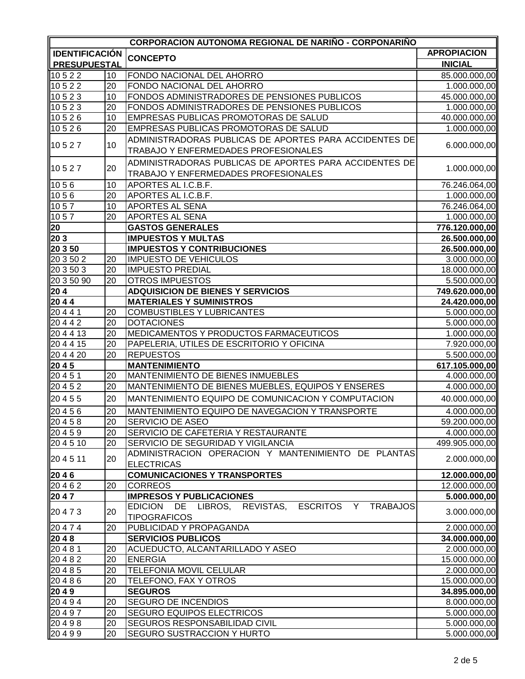| <b>CORPORACION AUTONOMA REGIONAL DE NARIÑO - CORPONARIÑO</b> |    |                                                                                                |                    |
|--------------------------------------------------------------|----|------------------------------------------------------------------------------------------------|--------------------|
| <b>IDENTIFICACIÓN</b>                                        |    | <b>CONCEPTO</b>                                                                                | <b>APROPIACION</b> |
| <b>PRESUPUESTAL</b>                                          |    |                                                                                                | <b>INICIAL</b>     |
| 10522                                                        | 10 | FONDO NACIONAL DEL AHORRO                                                                      | 85.000.000,00      |
| 10522                                                        | 20 | FONDO NACIONAL DEL AHORRO                                                                      | 1.000.000,00       |
| 10523                                                        | 10 | FONDOS ADMINISTRADORES DE PENSIONES PUBLICOS                                                   | 45.000.000,00      |
| 10523                                                        | 20 | FONDOS ADMINISTRADORES DE PENSIONES PUBLICOS                                                   | 1.000.000,00       |
| 10526                                                        | 10 | EMPRESAS PUBLICAS PROMOTORAS DE SALUD                                                          | 40.000.000,00      |
| 10526                                                        | 20 | EMPRESAS PUBLICAS PROMOTORAS DE SALUD                                                          | 1.000.000,00       |
| 10527                                                        | 10 | ADMINISTRADORAS PUBLICAS DE APORTES PARA ACCIDENTES DE<br>TRABAJO Y ENFERMEDADES PROFESIONALES | 6.000.000,00       |
| 10527                                                        | 20 | ADMINISTRADORAS PUBLICAS DE APORTES PARA ACCIDENTES DE<br>TRABAJO Y ENFERMEDADES PROFESIONALES | 1.000.000,00       |
| 1056                                                         | 10 | APORTES AL I.C.B.F.                                                                            | 76.246.064,00      |
| 1056                                                         | 20 | APORTES AL I.C.B.F.                                                                            | 1.000.000,00       |
| 1057                                                         | 10 | APORTES AL SENA                                                                                | 76.246.064,00      |
| 1057                                                         | 20 | <b>APORTES AL SENA</b>                                                                         | 1.000.000,00       |
| 20                                                           |    | <b>GASTOS GENERALES</b>                                                                        | 776.120.000,00     |
| 20 3                                                         |    | <b>IMPUESTOS Y MULTAS</b>                                                                      | 26.500.000,00      |
| 20 3 50                                                      |    | <b>IMPUESTOS Y CONTRIBUCIONES</b>                                                              | 26.500.000,00      |
| 20 3 50 2                                                    | 20 | <b>IMPUESTO DE VEHICULOS</b>                                                                   | 3.000.000,00       |
| 20 3 50 3                                                    | 20 | <b>IMPUESTO PREDIAL</b>                                                                        | 18.000.000,00      |
| 20 3 50 90                                                   | 20 | <b>OTROS IMPUESTOS</b>                                                                         | 5.500.000,00       |
| 204                                                          |    | <b>ADQUISICION DE BIENES Y SERVICIOS</b>                                                       | 749.620.000,00     |
| $\sqrt{2044}$                                                |    | <b>MATERIALES Y SUMINISTROS</b>                                                                | 24.420.000,00      |
| 20441                                                        | 20 | <b>COMBUSTIBLES Y LUBRICANTES</b>                                                              | 5.000.000,00       |
| $\sqrt{2044}$ 2                                              | 20 | <b>DOTACIONES</b>                                                                              | 5.000.000,00       |
| 204413                                                       | 20 | MEDICAMENTOS Y PRODUCTOS FARMACEUTICOS                                                         | 1.000.000,00       |
| 204415                                                       | 20 | PAPELERIA, UTILES DE ESCRITORIO Y OFICINA                                                      | 7.920.000,00       |
| 204420                                                       | 20 | <b>REPUESTOS</b>                                                                               | 5.500.000,00       |
| 2045                                                         |    | <b>MANTENIMIENTO</b>                                                                           | 617.105.000,00     |
| 20451                                                        | 20 | MANTENIMIENTO DE BIENES INMUEBLES                                                              | 4.000.000,00       |
| 20452                                                        | 20 | MANTENIMIENTO DE BIENES MUEBLES, EQUIPOS Y ENSERES                                             | 4.000.000,00       |
| 20455                                                        | 20 | MANTENIMIENTO EQUIPO DE COMUNICACION Y COMPUTACION                                             | 40.000.000,00      |
|                                                              | 20 | MANTENIMIENTO EQUIPO DE NAVEGACION Y TRANSPORTE                                                | 4.000.000,00       |
| 20456<br>20458                                               | 20 | SERVICIO DE ASEO                                                                               | 59.200.000,00      |
| 20459                                                        | 20 | SERVICIO DE CAFETERIA Y RESTAURANTE                                                            | 4.000.000,00       |
| 204510                                                       | 20 | SERVICIO DE SEGURIDAD Y VIGILANCIA                                                             | 499.905.000,00     |
|                                                              |    | ADMINISTRACION OPERACION Y MANTENIMIENTO DE PLANTAS                                            |                    |
| 204511                                                       | 20 | <b>ELECTRICAS</b>                                                                              | 2.000.000,00       |
| 2046                                                         |    | <b>COMUNICACIONES Y TRANSPORTES</b>                                                            | 12.000.000,00      |
| $\overline{20462}$                                           | 20 | <b>CORREOS</b>                                                                                 | 12.000.000,00      |
| $\sqrt{2047}$                                                |    | <b>IMPRESOS Y PUBLICACIONES</b>                                                                | 5.000.000,00       |
| 20473                                                        | 20 | EDICION DE LIBROS, REVISTAS,<br><b>ESCRITOS</b><br>Y<br><b>TRABAJOS</b><br><b>TIPOGRAFICOS</b> | 3.000.000,00       |
| $\sqrt{20}$ 4 7 4                                            | 20 | PUBLICIDAD Y PROPAGANDA                                                                        | 2.000.000,00       |
| $\sqrt{2048}$                                                |    | <b>SERVICIOS PUBLICOS</b>                                                                      | 34.000.000,00      |
| $\overline{20}$ 4 8 1                                        | 20 | ACUEDUCTO, ALCANTARILLADO Y ASEO                                                               | 2.000.000,00       |
| 20482                                                        | 20 | <b>ENERGIA</b>                                                                                 | 15.000.000,00      |
| 20485                                                        | 20 | TELEFONIA MOVIL CELULAR                                                                        | 2.000.000,00       |
| 20486                                                        | 20 | TELEFONO, FAX Y OTROS                                                                          | 15.000.000,00      |
| 2049                                                         |    | <b>SEGUROS</b>                                                                                 | 34.895.000,00      |
| 20494                                                        | 20 | <b>SEGURO DE INCENDIOS</b>                                                                     | 8.000.000,00       |
| 20497                                                        | 20 | <b>SEGURO EQUIPOS ELECTRICOS</b>                                                               | 5.000.000,00       |
| 20498                                                        | 20 | <b>SEGUROS RESPONSABILIDAD CIVIL</b>                                                           | 5.000.000,00       |
| 20499                                                        | 20 | <b>SEGURO SUSTRACCION Y HURTO</b>                                                              | 5.000.000,00       |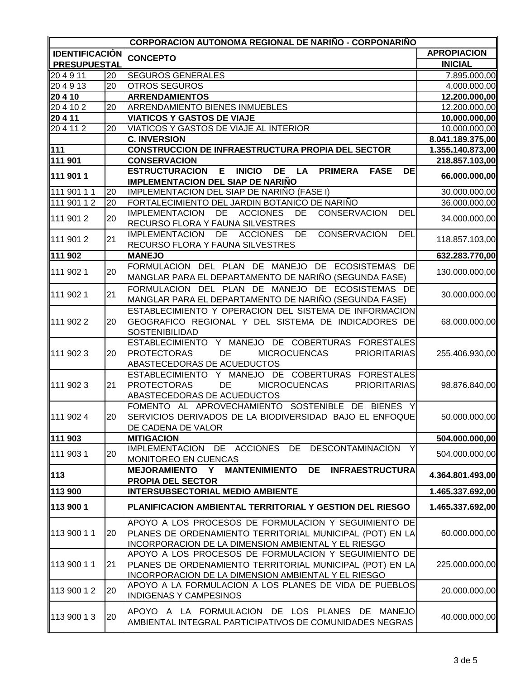|                       |    | <b>CORPORACION AUTONOMA REGIONAL DE NARIÑO - CORPONARIÑO</b>                                              |                    |
|-----------------------|----|-----------------------------------------------------------------------------------------------------------|--------------------|
| <b>IDENTIFICACIÓN</b> |    | <b>CONCEPTO</b>                                                                                           | <b>APROPIACION</b> |
| <b>PRESUPUESTAL</b>   |    |                                                                                                           | <b>INICIAL</b>     |
| 204911                | 20 | <b>SEGUROS GENERALES</b>                                                                                  | 7.895.000,00       |
| 204913                | 20 | OTROS SEGUROS                                                                                             | 4.000.000,00       |
| 20410                 |    | <b>ARRENDAMIENTOS</b>                                                                                     | 12.200.000,00      |
| 204102                | 20 | ARRENDAMIENTO BIENES INMUEBLES                                                                            | 12.200.000,00      |
| 20 4 11               |    | <b>VIATICOS Y GASTOS DE VIAJE</b>                                                                         | 10.000.000,00      |
| 204112                | 20 | VIATICOS Y GASTOS DE VIAJE AL INTERIOR                                                                    | 10.000.000,00      |
|                       |    | <b>C. INVERSION</b>                                                                                       | 8.041.189.375,00   |
| $111$                 |    | CONSTRUCCION DE INFRAESTRUCTURA PROPIA DEL SECTOR                                                         | 1.355.140.873,00   |
| 111 901               |    | <b>CONSERVACION</b>                                                                                       | 218.857.103,00     |
|                       |    | E<br><b>INICIO</b><br>DE LA<br><b>ESTRUCTURACION</b><br><b>PRIMERA</b><br><b>FASE</b><br><b>DE</b>        |                    |
| 111 901 1             |    | <b>IMPLEMENTACION DEL SIAP DE NARIÑO</b>                                                                  | 66.000.000,00      |
| 111 901 1 1           | 20 | IMPLEMENTACION DEL SIAP DE NARIÑO (FASE I)                                                                | 30.000.000,00      |
| 111 901 1 2           | 20 | FORTALECIMIENTO DEL JARDIN BOTANICO DE NARIÑO                                                             | 36.000.000,00      |
|                       |    | <b>IMPLEMENTACION</b><br>DE ACCIONES<br><b>DEL</b><br>DE<br><b>CONSERVACION</b>                           |                    |
| 111 901 2             | 20 | RECURSO FLORA Y FAUNA SILVESTRES                                                                          | 34.000.000,00      |
|                       |    | CONSERVACION<br><b>IMPLEMENTACION</b><br>DE<br><b>ACCIONES</b><br>DE<br><b>DEL</b>                        |                    |
| 111 901 2             | 21 | RECURSO FLORA Y FAUNA SILVESTRES                                                                          | 118.857.103,00     |
| 111 902               |    | <b>MANEJO</b>                                                                                             |                    |
|                       |    |                                                                                                           | 632.283.770,00     |
| 111 902 1             | 20 | FORMULACION DEL PLAN DE MANEJO DE ECOSISTEMAS DE<br>MANGLAR PARA EL DEPARTAMENTO DE NARIÑO (SEGUNDA FASE) | 130.000.000,00     |
|                       |    |                                                                                                           |                    |
| 111 902 1             | 21 | FORMULACION DEL PLAN DE MANEJO DE ECOSISTEMAS DE                                                          | 30.000.000,00      |
|                       |    | MANGLAR PARA EL DEPARTAMENTO DE NARIÑO (SEGUNDA FASE)                                                     |                    |
|                       |    | ESTABLECIMIENTO Y OPERACION DEL SISTEMA DE INFORMACION                                                    |                    |
| 111 902 2             | 20 | GEOGRAFICO REGIONAL Y DEL SISTEMA DE INDICADORES DE                                                       | 68.000.000,00      |
|                       |    | <b>SOSTENIBILIDAD</b>                                                                                     |                    |
|                       |    | ESTABLECIMIENTO Y MANEJO DE COBERTURAS FORESTALES                                                         |                    |
| 111 902 3             | 20 | <b>PROTECTORAS</b><br>DE<br><b>MICROCUENCAS</b><br><b>PRIORITARIAS</b>                                    | 255.406.930,00     |
|                       |    | ABASTECEDORAS DE ACUEDUCTOS                                                                               |                    |
|                       |    | ESTABLECIMIENTO Y MANEJO DE COBERTURAS FORESTALES                                                         |                    |
| 111 902 3             | 21 | <b>PROTECTORAS</b><br>DE<br><b>PRIORITARIAS</b><br><b>MICROCUENCAS</b>                                    | 98.876.840,00      |
|                       |    | ABASTECEDORAS DE ACUEDUCTOS                                                                               |                    |
|                       |    | FOMENTO AL APROVECHAMIENTO SOSTENIBLE DE BIENES Y                                                         |                    |
| 111 902 4             | 20 | SERVICIOS DERIVADOS DE LA BIODIVERSIDAD BAJO EL ENFOQUE                                                   | 50.000.000,00      |
|                       |    | DE CADENA DE VALOR                                                                                        |                    |
| 111 903               |    | <b>MITIGACION</b>                                                                                         | 504.000.000,00     |
|                       |    | IMPLEMENTACION DE ACCIONES DE<br>DESCONTAMINACION<br>Y                                                    |                    |
| 111 903 1             | 20 | MONITOREO EN CUENCAS                                                                                      | 504.000.000,00     |
|                       |    | MEJORAMIENTO Y MANTENIMIENTO<br>DE<br><b>INFRAESTRUCTURA</b>                                              |                    |
| 113                   |    | <b>PROPIA DEL SECTOR</b>                                                                                  | 4.364.801.493,00   |
| 113 900               |    | <b>INTERSUBSECTORIAL MEDIO AMBIENTE</b>                                                                   | 1.465.337.692,00   |
| 113 900 1             |    | PLANIFICACION AMBIENTAL TERRITORIAL Y GESTION DEL RIESGO                                                  | 1.465.337.692,00   |
|                       |    | APOYO A LOS PROCESOS DE FORMULACION Y SEGUIMIENTO DE                                                      |                    |
| 113 900 11            | 20 | PLANES DE ORDENAMIENTO TERRITORIAL MUNICIPAL (POT) EN LA                                                  | 60.000.000,00      |
|                       |    | INCORPORACION DE LA DIMENSION AMBIENTAL Y EL RIESGO                                                       |                    |
|                       |    | APOYO A LOS PROCESOS DE FORMULACION Y SEGUIMIENTO DE                                                      |                    |
| 113 900 11            | 21 | PLANES DE ORDENAMIENTO TERRITORIAL MUNICIPAL (POT) EN LA                                                  | 225.000.000,00     |
|                       |    | INCORPORACION DE LA DIMENSION AMBIENTAL Y EL RIESGO                                                       |                    |
|                       |    | APOYO A LA FORMULACION A LOS PLANES DE VIDA DE PUEBLOS                                                    |                    |
| 113 900 12            | 20 | <b>INDIGENAS Y CAMPESINOS</b>                                                                             | 20.000.000,00      |
|                       |    |                                                                                                           |                    |
| 113 900 13            | 20 | APOYO A LA FORMULACION DE LOS PLANES DE MANEJO                                                            | 40.000.000,00      |
|                       |    | AMBIENTAL INTEGRAL PARTICIPATIVOS DE COMUNIDADES NEGRAS                                                   |                    |
|                       |    |                                                                                                           |                    |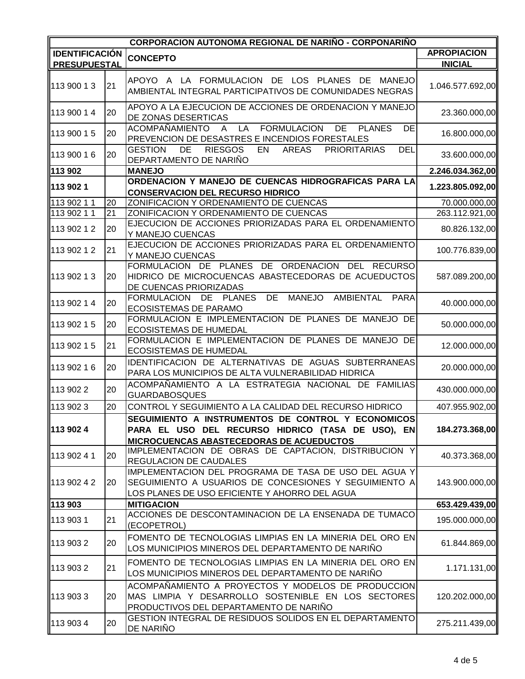| <b>CORPORACION AUTONOMA REGIONAL DE NARIÑO - CORPONARIÑO</b> |    |                                                                                                                                                                 |                    |
|--------------------------------------------------------------|----|-----------------------------------------------------------------------------------------------------------------------------------------------------------------|--------------------|
| <b>IDENTIFICACIÓN</b>                                        |    | <b>CONCEPTO</b>                                                                                                                                                 | <b>APROPIACION</b> |
| <b>PRESUPUESTAL</b>                                          |    |                                                                                                                                                                 | <b>INICIAL</b>     |
| 113 900 13                                                   | 21 | APOYO A LA FORMULACION DE LOS PLANES DE MANEJO<br>AMBIENTAL INTEGRAL PARTICIPATIVOS DE COMUNIDADES NEGRAS                                                       | 1.046.577.692,00   |
| 113 900 14                                                   | 20 | APOYO A LA EJECUCION DE ACCIONES DE ORDENACION Y MANEJO<br>DE ZONAS DESERTICAS                                                                                  | 23.360.000,00      |
| 113 900 15                                                   | 20 | <b>FORMULACION</b><br><b>DE</b><br><b>ACOMPAÑAMIENTO</b><br>LA<br><b>PLANES</b><br>DE<br>$\overline{A}$<br>PREVENCION DE DESASTRES E INCENDIOS FORESTALES       | 16.800.000,00      |
| 113 900 16                                                   | 20 | <b>DEL</b><br><b>RIESGOS</b><br><b>GESTION</b><br>DE<br>EN<br><b>AREAS</b><br><b>PRIORITARIAS</b><br>DEPARTAMENTO DE NARIÑO                                     | 33.600.000,00      |
| 113 902                                                      |    | <b>MANEJO</b>                                                                                                                                                   | 2.246.034.362,00   |
| 113 902 1                                                    |    | ORDENACION Y MANEJO DE CUENCAS HIDROGRAFICAS PARA LA<br><b>CONSERVACION DEL RECURSO HIDRICO</b>                                                                 | 1.223.805.092,00   |
| 113 902 1 1                                                  | 20 | ZONIFICACION Y ORDENAMIENTO DE CUENCAS                                                                                                                          | 70.000.000,00      |
| 113 902 11                                                   | 21 | ZONIFICACION Y ORDENAMIENTO DE CUENCAS                                                                                                                          | 263.112.921,00     |
| 113 902 1 2                                                  | 20 | EJECUCION DE ACCIONES PRIORIZADAS PARA EL ORDENAMIENTO<br>Y MANEJO CUENCAS                                                                                      | 80.826.132,00      |
| 113 902 1 2                                                  | 21 | EJECUCION DE ACCIONES PRIORIZADAS PARA EL ORDENAMIENTO<br>Y MANEJO CUENCAS                                                                                      | 100.776.839,00     |
| 113 902 13                                                   | 20 | FORMULACION DE PLANES DE ORDENACION DEL RECURSO<br>HIDRICO DE MICROCUENCAS ABASTECEDORAS DE ACUEDUCTOS<br>DE CUENCAS PRIORIZADAS                                | 587.089.200,00     |
| 113 902 14                                                   | 20 | DE<br>MANEJO AMBIENTAL<br>FORMULACION DE PLANES<br><b>PARA</b><br><b>ECOSISTEMAS DE PARAMO</b>                                                                  | 40.000.000,00      |
| 113 902 1 5                                                  | 20 | FORMULACION E IMPLEMENTACION DE PLANES DE MANEJO DE<br><b>ECOSISTEMAS DE HUMEDAL</b>                                                                            | 50.000.000,00      |
| 113 902 1 5                                                  | 21 | FORMULACION E IMPLEMENTACION DE PLANES DE MANEJO DE<br><b>ECOSISTEMAS DE HUMEDAL</b>                                                                            | 12.000.000,00      |
| 113 902 16                                                   | 20 | IDENTIFICACION DE ALTERNATIVAS DE AGUAS SUBTERRANEAS<br>PARA LOS MUNICIPIOS DE ALTA VULNERABILIDAD HIDRICA                                                      | 20.000.000,00      |
| 113 902 2                                                    | 20 | ACOMPAÑAMIENTO A LA ESTRATEGIA NACIONAL DE FAMILIAS<br><b>GUARDABOSQUES</b>                                                                                     | 430.000.000,00     |
| 113 902 3                                                    | 20 | CONTROL Y SEGUIMIENTO A LA CALIDAD DEL RECURSO HIDRICO                                                                                                          | 407.955.902,00     |
| 113 902 4                                                    |    | SEGUIMIENTO A INSTRUMENTOS DE CONTROL Y ECONOMICOS<br>PARA EL USO DEL RECURSO HIDRICO (TASA DE USO), EN<br><b>MICROCUENCAS ABASTECEDORAS DE ACUEDUCTOS</b>      | 184.273.368,00     |
| 113 902 41                                                   | 20 | IMPLEMENTACION DE OBRAS DE CAPTACION, DISTRIBUCION Y<br><b>REGULACION DE CAUDALES</b>                                                                           | 40.373.368,00      |
| 113 902 4 2                                                  | 20 | IMPLEMENTACION DEL PROGRAMA DE TASA DE USO DEL AGUA Y<br>SEGUIMIENTO A USUARIOS DE CONCESIONES Y SEGUIMIENTO A<br>LOS PLANES DE USO EFICIENTE Y AHORRO DEL AGUA | 143.900.000,00     |
| 113 903                                                      |    | <b>MITIGACION</b>                                                                                                                                               | 653.429.439,00     |
| 113 903 1                                                    | 21 | ACCIONES DE DESCONTAMINACION DE LA ENSENADA DE TUMACO<br>(ECOPETROL)                                                                                            | 195.000.000,00     |
| 113 903 2                                                    | 20 | FOMENTO DE TECNOLOGIAS LIMPIAS EN LA MINERIA DEL ORO EN<br>LOS MUNICIPIOS MINEROS DEL DEPARTAMENTO DE NARIÑO                                                    | 61.844.869,00      |
| 113 903 2                                                    | 21 | FOMENTO DE TECNOLOGIAS LIMPIAS EN LA MINERIA DEL ORO EN<br>LOS MUNICIPIOS MINEROS DEL DEPARTAMENTO DE NARIÑO                                                    | 1.171.131,00       |
| 113 903 3                                                    | 20 | ACOMPAÑAMIENTO A PROYECTOS Y MODELOS DE PRODUCCION<br>MAS LIMPIA Y DESARROLLO SOSTENIBLE EN LOS SECTORES<br>PRODUCTIVOS DEL DEPARTAMENTO DE NARIÑO              | 120.202.000,00     |
| 113 903 4                                                    | 20 | GESTION INTEGRAL DE RESIDUOS SOLIDOS EN EL DEPARTAMENTO<br>DE NARIÑO                                                                                            | 275.211.439,00     |